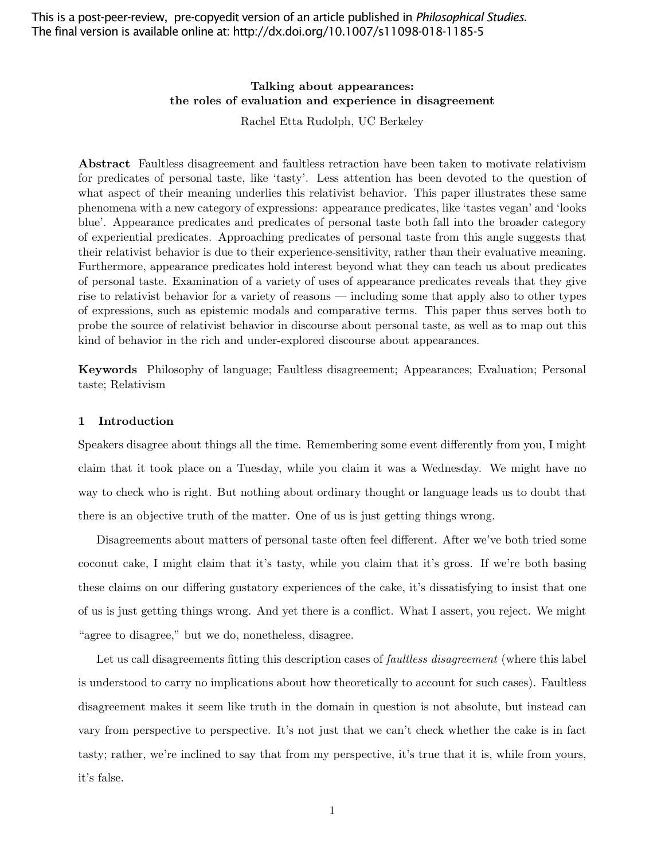This is a post-peer-review, pre-copyedit version of an article published in *Philosophical Studies*. The final version is available online at: http://dx.doi.org/10.1007/s11098-018-1185-5

# Talking about appearances: the roles of evaluation and experience in disagreement

Rachel Etta Rudolph, UC Berkeley

Abstract Faultless disagreement and faultless retraction have been taken to motivate relativism for predicates of personal taste, like 'tasty'. Less attention has been devoted to the question of what aspect of their meaning underlies this relativist behavior. This paper illustrates these same phenomena with a new category of expressions: appearance predicates, like 'tastes vegan' and 'looks blue'. Appearance predicates and predicates of personal taste both fall into the broader category of experiential predicates. Approaching predicates of personal taste from this angle suggests that their relativist behavior is due to their experience-sensitivity, rather than their evaluative meaning. Furthermore, appearance predicates hold interest beyond what they can teach us about predicates of personal taste. Examination of a variety of uses of appearance predicates reveals that they give rise to relativist behavior for a variety of reasons — including some that apply also to other types of expressions, such as epistemic modals and comparative terms. This paper thus serves both to probe the source of relativist behavior in discourse about personal taste, as well as to map out this kind of behavior in the rich and under-explored discourse about appearances.

Keywords Philosophy of language; Faultless disagreement; Appearances; Evaluation; Personal taste; Relativism

#### 1 Introduction

Speakers disagree about things all the time. Remembering some event differently from you, I might claim that it took place on a Tuesday, while you claim it was a Wednesday. We might have no way to check who is right. But nothing about ordinary thought or language leads us to doubt that there is an objective truth of the matter. One of us is just getting things wrong.

Disagreements about matters of personal taste often feel different. After we've both tried some coconut cake, I might claim that it's tasty, while you claim that it's gross. If we're both basing these claims on our differing gustatory experiences of the cake, it's dissatisfying to insist that one of us is just getting things wrong. And yet there is a conflict. What I assert, you reject. We might "agree to disagree," but we do, nonetheless, disagree.

Let us call disagreements fitting this description cases of *faultless disagreement* (where this label is understood to carry no implications about how theoretically to account for such cases). Faultless disagreement makes it seem like truth in the domain in question is not absolute, but instead can vary from perspective to perspective. It's not just that we can't check whether the cake is in fact tasty; rather, we're inclined to say that from my perspective, it's true that it is, while from yours, it's false.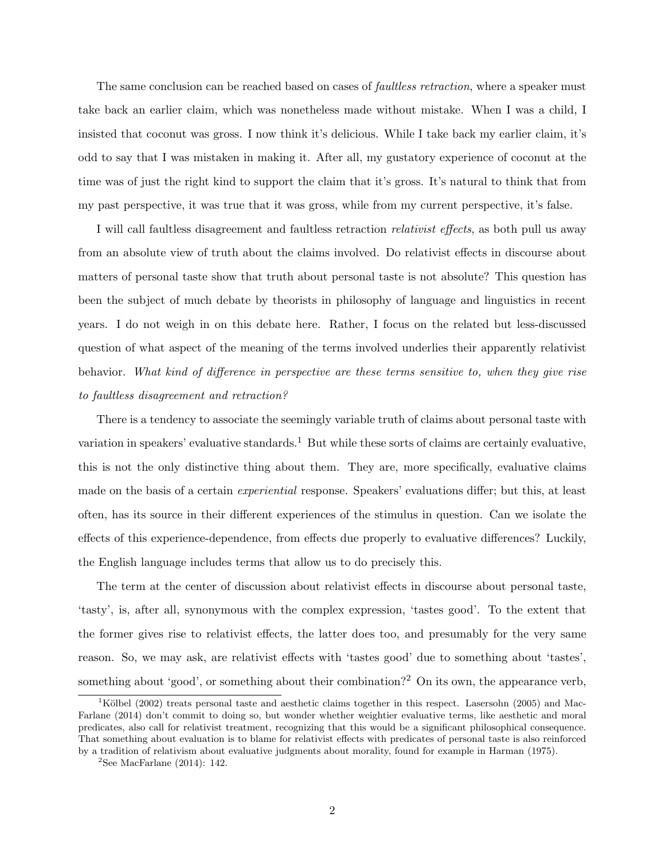The same conclusion can be reached based on cases of *faultless retraction*, where a speaker must take back an earlier claim, which was nonetheless made without mistake. When I was a child, I insisted that coconut was gross. I now think it's delicious. While I take back my earlier claim, it's odd to say that I was mistaken in making it. After all, my gustatory experience of coconut at the time was of just the right kind to support the claim that it's gross. It's natural to think that from my past perspective, it was true that it was gross, while from my current perspective, it's false.

I will call faultless disagreement and faultless retraction relativist effects, as both pull us away from an absolute view of truth about the claims involved. Do relativist effects in discourse about matters of personal taste show that truth about personal taste is not absolute? This question has been the subject of much debate by theorists in philosophy of language and linguistics in recent years. I do not weigh in on this debate here. Rather, I focus on the related but less-discussed question of what aspect of the meaning of the terms involved underlies their apparently relativist behavior. What kind of difference in perspective are these terms sensitive to, when they give rise to faultless disagreement and retraction?

There is a tendency to associate the seemingly variable truth of claims about personal taste with variation in speakers' evaluative standards.<sup>1</sup> But while these sorts of claims are certainly evaluative, this is not the only distinctive thing about them. They are, more specifically, evaluative claims made on the basis of a certain experiential response. Speakers' evaluations differ; but this, at least often, has its source in their different experiences of the stimulus in question. Can we isolate the effects of this experience-dependence, from effects due properly to evaluative differences? Luckily, the English language includes terms that allow us to do precisely this.

The term at the center of discussion about relativist effects in discourse about personal taste, 'tasty', is, after all, synonymous with the complex expression, 'tastes good'. To the extent that the former gives rise to relativist effects, the latter does too, and presumably for the very same reason. So, we may ask, are relativist effects with 'tastes good' due to something about 'tastes', something about 'good', or something about their combination?<sup>2</sup> On its own, the appearance verb,

 $1K$ ölbel (2002) treats personal taste and aesthetic claims together in this respect. Lasersohn (2005) and Mac-Farlane (2014) don't commit to doing so, but wonder whether weightier evaluative terms, like aesthetic and moral predicates, also call for relativist treatment, recognizing that this would be a significant philosophical consequence. That something about evaluation is to blame for relativist effects with predicates of personal taste is also reinforced by a tradition of relativism about evaluative judgments about morality, found for example in Harman (1975).

<sup>&</sup>lt;sup>2</sup>See MacFarlane  $(2014)$ : 142.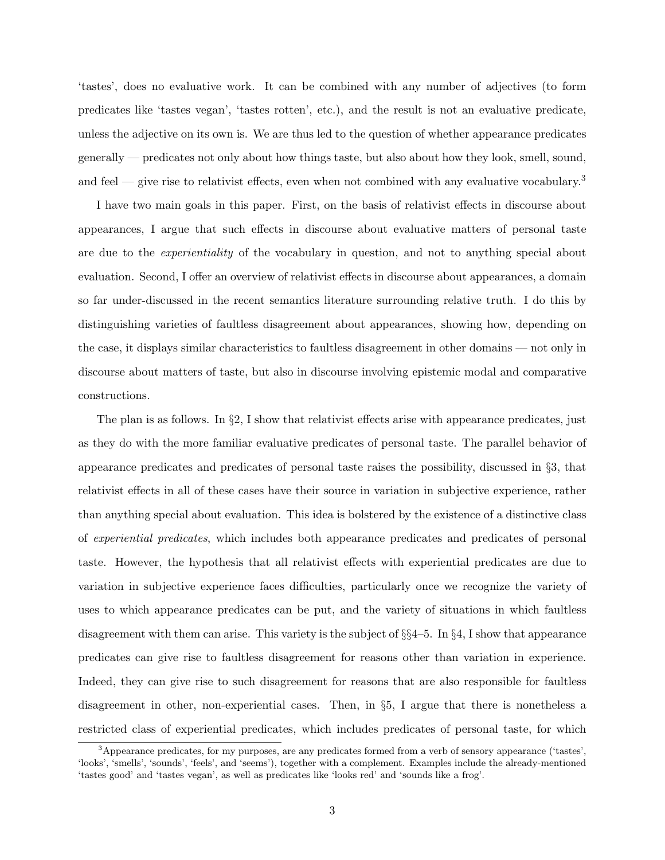'tastes', does no evaluative work. It can be combined with any number of adjectives (to form predicates like 'tastes vegan', 'tastes rotten', etc.), and the result is not an evaluative predicate, unless the adjective on its own is. We are thus led to the question of whether appearance predicates generally — predicates not only about how things taste, but also about how they look, smell, sound, and feel — give rise to relativist effects, even when not combined with any evaluative vocabulary.<sup>3</sup>

I have two main goals in this paper. First, on the basis of relativist effects in discourse about appearances, I argue that such effects in discourse about evaluative matters of personal taste are due to the *experientiality* of the vocabulary in question, and not to anything special about evaluation. Second, I offer an overview of relativist effects in discourse about appearances, a domain so far under-discussed in the recent semantics literature surrounding relative truth. I do this by distinguishing varieties of faultless disagreement about appearances, showing how, depending on the case, it displays similar characteristics to faultless disagreement in other domains — not only in discourse about matters of taste, but also in discourse involving epistemic modal and comparative constructions.

The plan is as follows. In  $\S2$ , I show that relativist effects arise with appearance predicates, just as they do with the more familiar evaluative predicates of personal taste. The parallel behavior of appearance predicates and predicates of personal taste raises the possibility, discussed in §3, that relativist effects in all of these cases have their source in variation in subjective experience, rather than anything special about evaluation. This idea is bolstered by the existence of a distinctive class of experiential predicates, which includes both appearance predicates and predicates of personal taste. However, the hypothesis that all relativist effects with experiential predicates are due to variation in subjective experience faces difficulties, particularly once we recognize the variety of uses to which appearance predicates can be put, and the variety of situations in which faultless disagreement with them can arise. This variety is the subject of §§4–5. In §4, I show that appearance predicates can give rise to faultless disagreement for reasons other than variation in experience. Indeed, they can give rise to such disagreement for reasons that are also responsible for faultless disagreement in other, non-experiential cases. Then, in §5, I argue that there is nonetheless a restricted class of experiential predicates, which includes predicates of personal taste, for which

<sup>&</sup>lt;sup>3</sup>Appearance predicates, for my purposes, are any predicates formed from a verb of sensory appearance ('tastes', 'looks', 'smells', 'sounds', 'feels', and 'seems'), together with a complement. Examples include the already-mentioned 'tastes good' and 'tastes vegan', as well as predicates like 'looks red' and 'sounds like a frog'.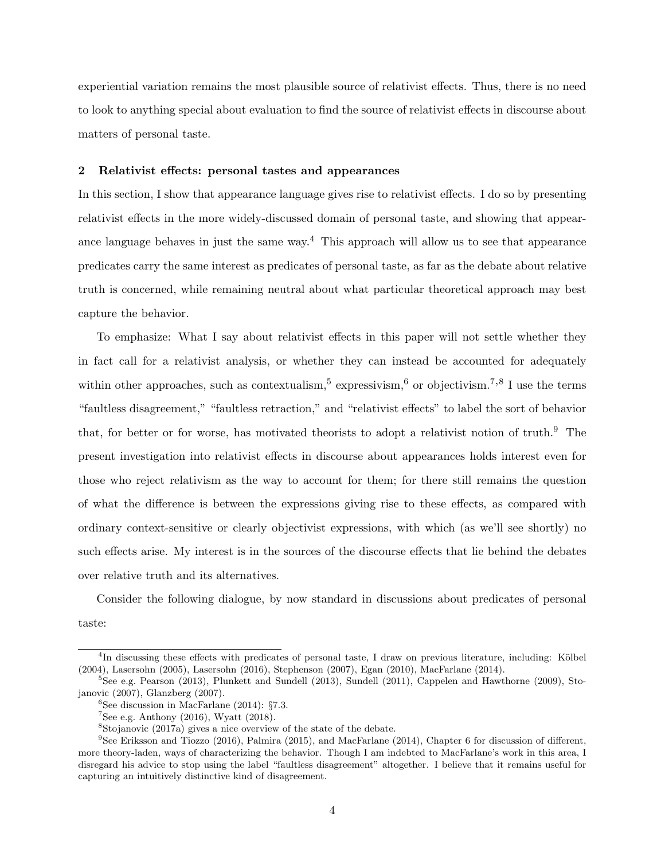experiential variation remains the most plausible source of relativist effects. Thus, there is no need to look to anything special about evaluation to find the source of relativist effects in discourse about matters of personal taste.

## 2 Relativist effects: personal tastes and appearances

In this section, I show that appearance language gives rise to relativist effects. I do so by presenting relativist effects in the more widely-discussed domain of personal taste, and showing that appearance language behaves in just the same way.<sup>4</sup> This approach will allow us to see that appearance predicates carry the same interest as predicates of personal taste, as far as the debate about relative truth is concerned, while remaining neutral about what particular theoretical approach may best capture the behavior.

To emphasize: What I say about relativist effects in this paper will not settle whether they in fact call for a relativist analysis, or whether they can instead be accounted for adequately within other approaches, such as contextualism,<sup>5</sup> expressivism,<sup>6</sup> or objectivism.<sup>7,8</sup> I use the terms "faultless disagreement," "faultless retraction," and "relativist effects" to label the sort of behavior that, for better or for worse, has motivated theorists to adopt a relativist notion of truth.<sup>9</sup> The present investigation into relativist effects in discourse about appearances holds interest even for those who reject relativism as the way to account for them; for there still remains the question of what the difference is between the expressions giving rise to these effects, as compared with ordinary context-sensitive or clearly objectivist expressions, with which (as we'll see shortly) no such effects arise. My interest is in the sources of the discourse effects that lie behind the debates over relative truth and its alternatives.

Consider the following dialogue, by now standard in discussions about predicates of personal taste:

<sup>&</sup>lt;sup>4</sup>In discussing these effects with predicates of personal taste, I draw on previous literature, including: Kölbel (2004), Lasersohn (2005), Lasersohn (2016), Stephenson (2007), Egan (2010), MacFarlane (2014).

<sup>5</sup>See e.g. Pearson (2013), Plunkett and Sundell (2013), Sundell (2011), Cappelen and Hawthorne (2009), Stojanovic (2007), Glanzberg (2007).

<sup>&</sup>lt;sup>6</sup>See discussion in MacFarlane  $(2014)$ : §7.3.

 $7$ See e.g. Anthony (2016), Wyatt (2018).

<sup>8</sup>Stojanovic (2017a) gives a nice overview of the state of the debate.

<sup>9</sup>See Eriksson and Tiozzo (2016), Palmira (2015), and MacFarlane (2014), Chapter 6 for discussion of different, more theory-laden, ways of characterizing the behavior. Though I am indebted to MacFarlane's work in this area, I disregard his advice to stop using the label "faultless disagreement" altogether. I believe that it remains useful for capturing an intuitively distinctive kind of disagreement.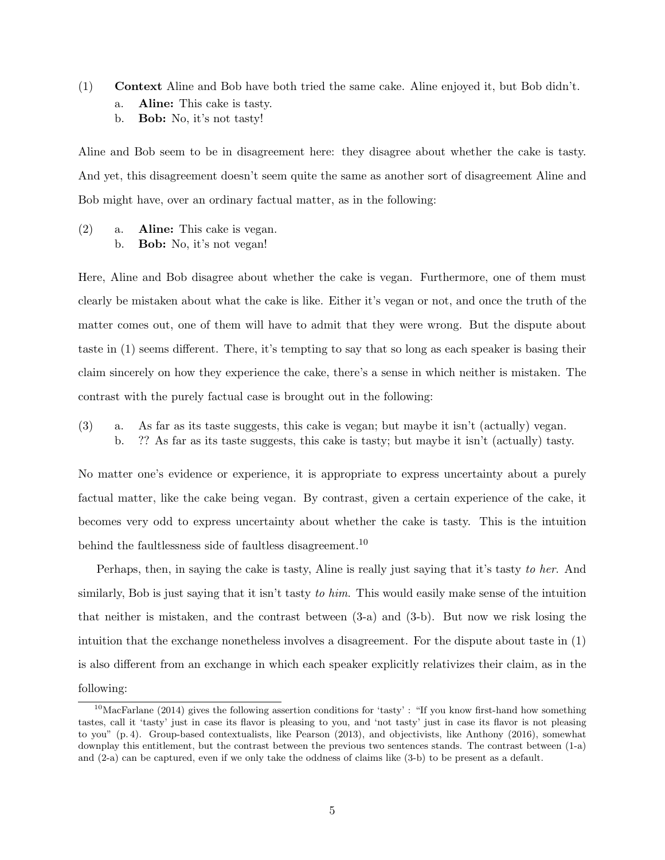- (1) Context Aline and Bob have both tried the same cake. Aline enjoyed it, but Bob didn't. a. Aline: This cake is tasty.
	- b. Bob: No, it's not tasty!

Aline and Bob seem to be in disagreement here: they disagree about whether the cake is tasty. And yet, this disagreement doesn't seem quite the same as another sort of disagreement Aline and Bob might have, over an ordinary factual matter, as in the following:

(2) a. Aline: This cake is vegan. b. Bob: No, it's not vegan!

Here, Aline and Bob disagree about whether the cake is vegan. Furthermore, one of them must clearly be mistaken about what the cake is like. Either it's vegan or not, and once the truth of the matter comes out, one of them will have to admit that they were wrong. But the dispute about taste in (1) seems different. There, it's tempting to say that so long as each speaker is basing their claim sincerely on how they experience the cake, there's a sense in which neither is mistaken. The contrast with the purely factual case is brought out in the following:

(3) a. As far as its taste suggests, this cake is vegan; but maybe it isn't (actually) vegan. b. ?? As far as its taste suggests, this cake is tasty; but maybe it isn't (actually) tasty.

No matter one's evidence or experience, it is appropriate to express uncertainty about a purely factual matter, like the cake being vegan. By contrast, given a certain experience of the cake, it becomes very odd to express uncertainty about whether the cake is tasty. This is the intuition behind the faultlessness side of faultless disagreement.<sup>10</sup>

Perhaps, then, in saying the cake is tasty, Aline is really just saying that it's tasty to her. And similarly, Bob is just saying that it isn't tasty to him. This would easily make sense of the intuition that neither is mistaken, and the contrast between (3-a) and (3-b). But now we risk losing the intuition that the exchange nonetheless involves a disagreement. For the dispute about taste in (1) is also different from an exchange in which each speaker explicitly relativizes their claim, as in the following:

 $10$ MacFarlane (2014) gives the following assertion conditions for 'tasty' : "If you know first-hand how something tastes, call it 'tasty' just in case its flavor is pleasing to you, and 'not tasty' just in case its flavor is not pleasing to you" (p. 4). Group-based contextualists, like Pearson (2013), and objectivists, like Anthony (2016), somewhat downplay this entitlement, but the contrast between the previous two sentences stands. The contrast between (1-a) and (2-a) can be captured, even if we only take the oddness of claims like (3-b) to be present as a default.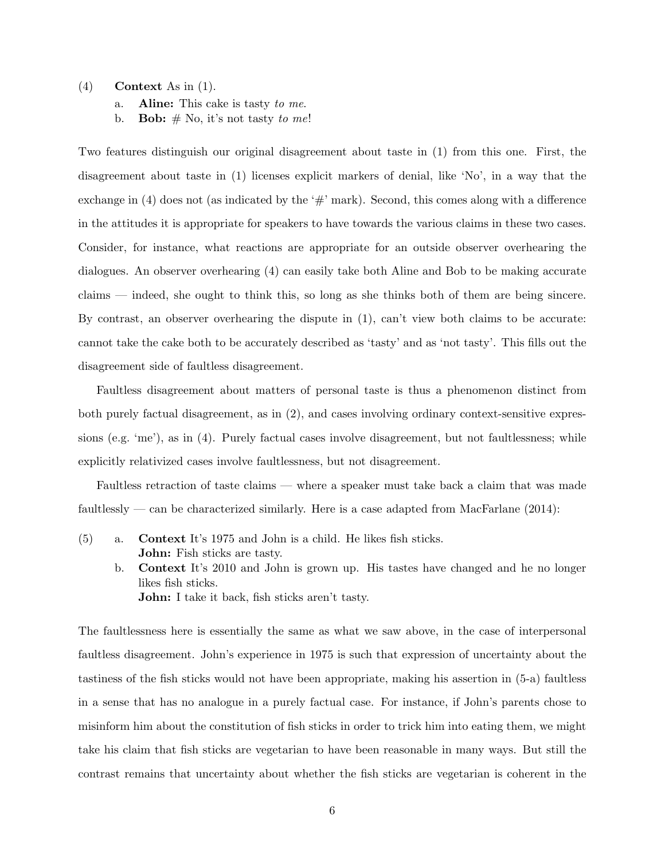#### $(4)$  Context As in  $(1)$ .

a. **Aline:** This cake is tasty to me.

b. **Bob:**  $#$  No, it's not tasty to me!

Two features distinguish our original disagreement about taste in (1) from this one. First, the disagreement about taste in (1) licenses explicit markers of denial, like 'No', in a way that the exchange in (4) does not (as indicated by the  $\#$  mark). Second, this comes along with a difference in the attitudes it is appropriate for speakers to have towards the various claims in these two cases. Consider, for instance, what reactions are appropriate for an outside observer overhearing the dialogues. An observer overhearing (4) can easily take both Aline and Bob to be making accurate claims — indeed, she ought to think this, so long as she thinks both of them are being sincere. By contrast, an observer overhearing the dispute in (1), can't view both claims to be accurate: cannot take the cake both to be accurately described as 'tasty' and as 'not tasty'. This fills out the disagreement side of faultless disagreement.

Faultless disagreement about matters of personal taste is thus a phenomenon distinct from both purely factual disagreement, as in (2), and cases involving ordinary context-sensitive expressions (e.g. 'me'), as in (4). Purely factual cases involve disagreement, but not faultlessness; while explicitly relativized cases involve faultlessness, but not disagreement.

Faultless retraction of taste claims — where a speaker must take back a claim that was made faultlessly — can be characterized similarly. Here is a case adapted from MacFarlane  $(2014)$ :

- (5) a. Context It's 1975 and John is a child. He likes fish sticks. John: Fish sticks are tasty.
	- b. Context It's 2010 and John is grown up. His tastes have changed and he no longer likes fish sticks. John: I take it back, fish sticks aren't tasty.

The faultlessness here is essentially the same as what we saw above, in the case of interpersonal faultless disagreement. John's experience in 1975 is such that expression of uncertainty about the tastiness of the fish sticks would not have been appropriate, making his assertion in (5-a) faultless in a sense that has no analogue in a purely factual case. For instance, if John's parents chose to misinform him about the constitution of fish sticks in order to trick him into eating them, we might take his claim that fish sticks are vegetarian to have been reasonable in many ways. But still the contrast remains that uncertainty about whether the fish sticks are vegetarian is coherent in the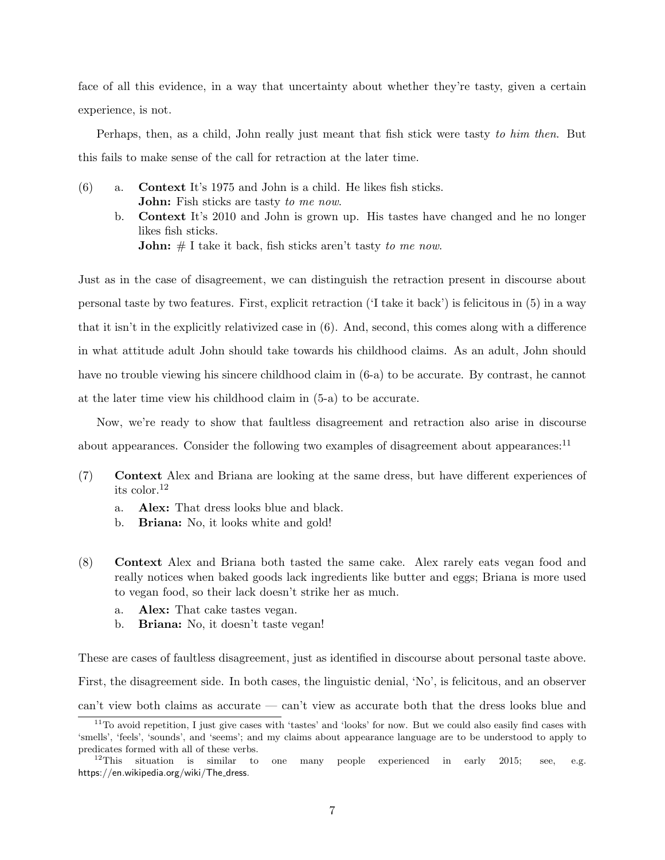face of all this evidence, in a way that uncertainty about whether they're tasty, given a certain experience, is not.

Perhaps, then, as a child, John really just meant that fish stick were tasty to him then. But this fails to make sense of the call for retraction at the later time.

- (6) a. Context It's 1975 and John is a child. He likes fish sticks. John: Fish sticks are tasty to me now.
	- b. Context It's 2010 and John is grown up. His tastes have changed and he no longer likes fish sticks. **John:**  $#$  I take it back, fish sticks aren't tasty to me now.

Just as in the case of disagreement, we can distinguish the retraction present in discourse about personal taste by two features. First, explicit retraction ('I take it back') is felicitous in (5) in a way that it isn't in the explicitly relativized case in (6). And, second, this comes along with a difference in what attitude adult John should take towards his childhood claims. As an adult, John should have no trouble viewing his sincere childhood claim in (6-a) to be accurate. By contrast, he cannot at the later time view his childhood claim in (5-a) to be accurate.

Now, we're ready to show that faultless disagreement and retraction also arise in discourse about appearances. Consider the following two examples of disagreement about appearances: $11$ 

- (7) Context Alex and Briana are looking at the same dress, but have different experiences of its color.<sup>12</sup>
	- a. Alex: That dress looks blue and black.
	- b. Briana: No, it looks white and gold!
- (8) Context Alex and Briana both tasted the same cake. Alex rarely eats vegan food and really notices when baked goods lack ingredients like butter and eggs; Briana is more used to vegan food, so their lack doesn't strike her as much.
	- a. Alex: That cake tastes vegan.
	- b. Briana: No, it doesn't taste vegan!

These are cases of faultless disagreement, just as identified in discourse about personal taste above. First, the disagreement side. In both cases, the linguistic denial, 'No', is felicitous, and an observer can't view both claims as accurate — can't view as accurate both that the dress looks blue and

 $11$ To avoid repetition, I just give cases with 'tastes' and 'looks' for now. But we could also easily find cases with 'smells', 'feels', 'sounds', and 'seems'; and my claims about appearance language are to be understood to apply to predicates formed with all of these verbs.<br> $12$ This situation is similar to

one many people experienced in early 2015; see, e.g. https://en.wikipedia.org/wiki/The\_dress.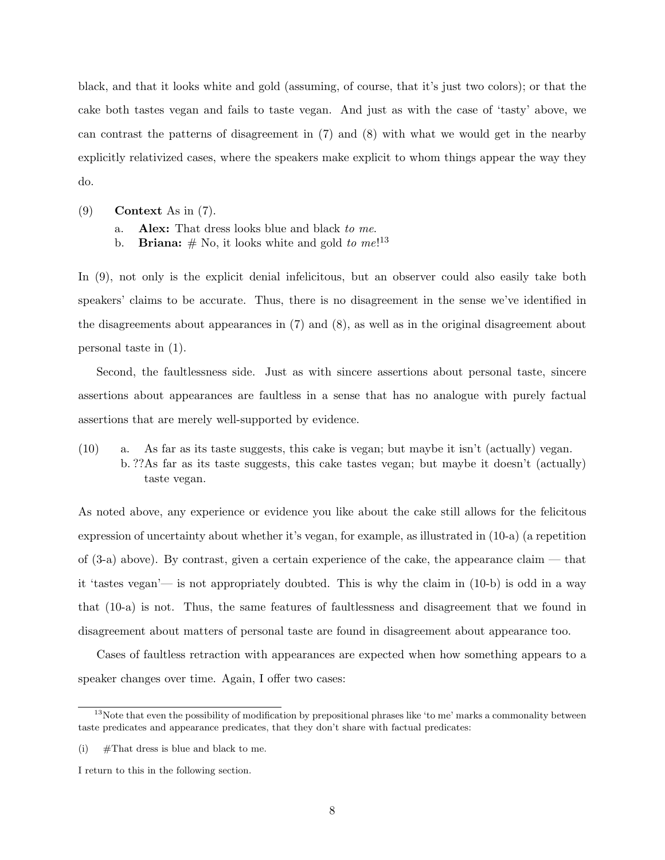black, and that it looks white and gold (assuming, of course, that it's just two colors); or that the cake both tastes vegan and fails to taste vegan. And just as with the case of 'tasty' above, we can contrast the patterns of disagreement in (7) and (8) with what we would get in the nearby explicitly relativized cases, where the speakers make explicit to whom things appear the way they do.

- (9) Context As in (7).
	- a. Alex: That dress looks blue and black to me.
	- b. **Briana:**  $#$  No, it looks white and gold to  $me^{13}$

In (9), not only is the explicit denial infelicitous, but an observer could also easily take both speakers' claims to be accurate. Thus, there is no disagreement in the sense we've identified in the disagreements about appearances in (7) and (8), as well as in the original disagreement about personal taste in (1).

Second, the faultlessness side. Just as with sincere assertions about personal taste, sincere assertions about appearances are faultless in a sense that has no analogue with purely factual assertions that are merely well-supported by evidence.

 $(10)$  a. As far as its taste suggests, this cake is vegan; but maybe it isn't (actually) vegan. b. ??As far as its taste suggests, this cake tastes vegan; but maybe it doesn't (actually) taste vegan.

As noted above, any experience or evidence you like about the cake still allows for the felicitous expression of uncertainty about whether it's vegan, for example, as illustrated in (10-a) (a repetition of (3-a) above). By contrast, given a certain experience of the cake, the appearance claim — that it 'tastes vegan'— is not appropriately doubted. This is why the claim in (10-b) is odd in a way that (10-a) is not. Thus, the same features of faultlessness and disagreement that we found in disagreement about matters of personal taste are found in disagreement about appearance too.

Cases of faultless retraction with appearances are expected when how something appears to a speaker changes over time. Again, I offer two cases:

 $13$ Note that even the possibility of modification by prepositional phrases like 'to me' marks a commonality between taste predicates and appearance predicates, that they don't share with factual predicates:

<sup>(</sup>i)  $\# \text{That dress is blue and black to me.}$ 

I return to this in the following section.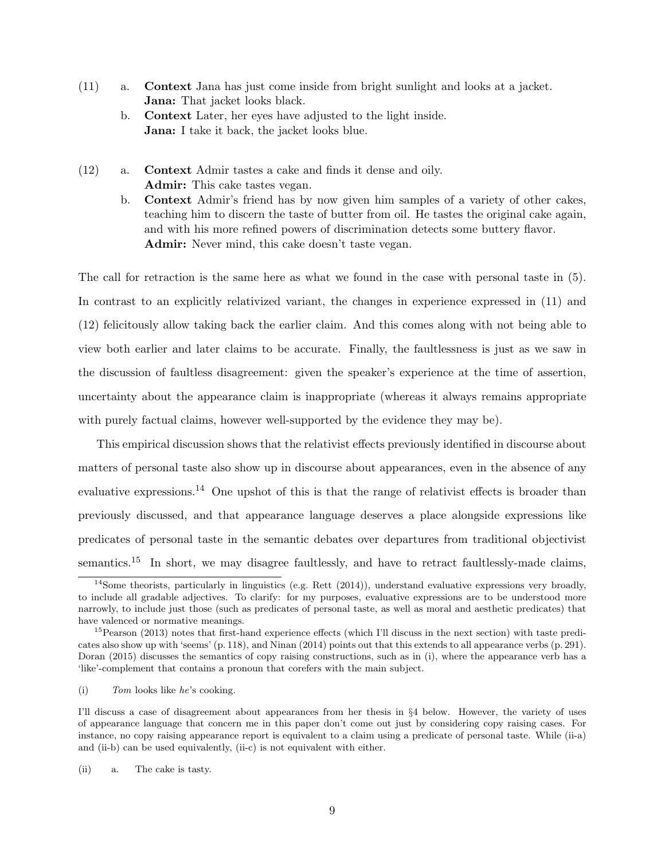- (11) a. Context Jana has just come inside from bright sunlight and looks at a jacket. Jana: That jacket looks black.
	- b. Context Later, her eyes have adjusted to the light inside. Jana: I take it back, the jacket looks blue.
- (12) a. Context Admir tastes a cake and finds it dense and oily. Admir: This cake tastes vegan.
	- b. Context Admir's friend has by now given him samples of a variety of other cakes, teaching him to discern the taste of butter from oil. He tastes the original cake again, and with his more refined powers of discrimination detects some buttery flavor. Admir: Never mind, this cake doesn't taste vegan.

The call for retraction is the same here as what we found in the case with personal taste in (5). In contrast to an explicitly relativized variant, the changes in experience expressed in (11) and (12) felicitously allow taking back the earlier claim. And this comes along with not being able to view both earlier and later claims to be accurate. Finally, the faultlessness is just as we saw in the discussion of faultless disagreement: given the speaker's experience at the time of assertion, uncertainty about the appearance claim is inappropriate (whereas it always remains appropriate with purely factual claims, however well-supported by the evidence they may be).

This empirical discussion shows that the relativist effects previously identified in discourse about matters of personal taste also show up in discourse about appearances, even in the absence of any evaluative expressions.<sup>14</sup> One upshot of this is that the range of relativist effects is broader than previously discussed, and that appearance language deserves a place alongside expressions like predicates of personal taste in the semantic debates over departures from traditional objectivist semantics.<sup>15</sup> In short, we may disagree faultlessly, and have to retract faultlessly-made claims,

 $14$ Some theorists, particularly in linguistics (e.g. Rett (2014)), understand evaluative expressions very broadly, to include all gradable adjectives. To clarify: for my purposes, evaluative expressions are to be understood more narrowly, to include just those (such as predicates of personal taste, as well as moral and aesthetic predicates) that have valenced or normative meanings.

<sup>&</sup>lt;sup>15</sup>Pearson (2013) notes that first-hand experience effects (which I'll discuss in the next section) with taste predicates also show up with 'seems' (p. 118), and Ninan (2014) points out that this extends to all appearance verbs (p. 291). Doran (2015) discusses the semantics of copy raising constructions, such as in (i), where the appearance verb has a 'like'-complement that contains a pronoun that corefers with the main subject.

<sup>(</sup>i) Tom looks like he's cooking.

I'll discuss a case of disagreement about appearances from her thesis in §4 below. However, the variety of uses of appearance language that concern me in this paper don't come out just by considering copy raising cases. For instance, no copy raising appearance report is equivalent to a claim using a predicate of personal taste. While (ii-a) and (ii-b) can be used equivalently, (ii-c) is not equivalent with either.

<sup>(</sup>ii) a. The cake is tasty.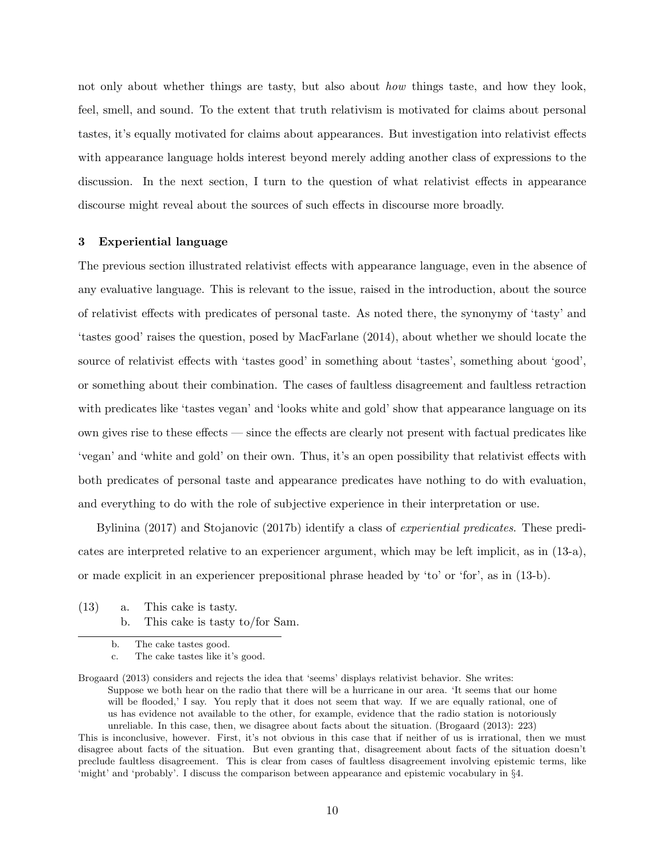not only about whether things are tasty, but also about *how* things taste, and how they look, feel, smell, and sound. To the extent that truth relativism is motivated for claims about personal tastes, it's equally motivated for claims about appearances. But investigation into relativist effects with appearance language holds interest beyond merely adding another class of expressions to the discussion. In the next section, I turn to the question of what relativist effects in appearance discourse might reveal about the sources of such effects in discourse more broadly.

## 3 Experiential language

The previous section illustrated relativist effects with appearance language, even in the absence of any evaluative language. This is relevant to the issue, raised in the introduction, about the source of relativist effects with predicates of personal taste. As noted there, the synonymy of 'tasty' and 'tastes good' raises the question, posed by MacFarlane (2014), about whether we should locate the source of relativist effects with 'tastes good' in something about 'tastes', something about 'good', or something about their combination. The cases of faultless disagreement and faultless retraction with predicates like 'tastes vegan' and 'looks white and gold' show that appearance language on its own gives rise to these effects — since the effects are clearly not present with factual predicates like 'vegan' and 'white and gold' on their own. Thus, it's an open possibility that relativist effects with both predicates of personal taste and appearance predicates have nothing to do with evaluation, and everything to do with the role of subjective experience in their interpretation or use.

Bylinina (2017) and Stojanovic (2017b) identify a class of *experiential predicates*. These predicates are interpreted relative to an experiencer argument, which may be left implicit, as in (13-a), or made explicit in an experiencer prepositional phrase headed by 'to' or 'for', as in (13-b).

(13) a. This cake is tasty. b. This cake is tasty to/for Sam.

b. The cake tastes good.

c. The cake tastes like it's good.

Brogaard (2013) considers and rejects the idea that 'seems' displays relativist behavior. She writes: Suppose we both hear on the radio that there will be a hurricane in our area. 'It seems that our home will be flooded,' I say. You reply that it does not seem that way. If we are equally rational, one of us has evidence not available to the other, for example, evidence that the radio station is notoriously unreliable. In this case, then, we disagree about facts about the situation. (Brogaard (2013): 223)

This is inconclusive, however. First, it's not obvious in this case that if neither of us is irrational, then we must disagree about facts of the situation. But even granting that, disagreement about facts of the situation doesn't preclude faultless disagreement. This is clear from cases of faultless disagreement involving epistemic terms, like 'might' and 'probably'. I discuss the comparison between appearance and epistemic vocabulary in §4.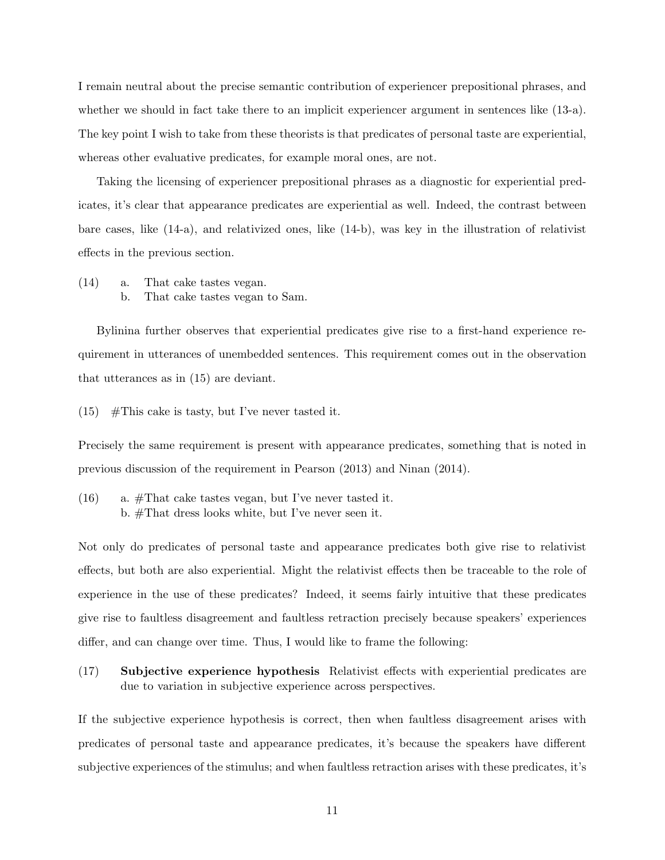I remain neutral about the precise semantic contribution of experiencer prepositional phrases, and whether we should in fact take there to an implicit experiencer argument in sentences like (13-a). The key point I wish to take from these theorists is that predicates of personal taste are experiential, whereas other evaluative predicates, for example moral ones, are not.

Taking the licensing of experiencer prepositional phrases as a diagnostic for experiential predicates, it's clear that appearance predicates are experiential as well. Indeed, the contrast between bare cases, like (14-a), and relativized ones, like (14-b), was key in the illustration of relativist effects in the previous section.

(14) a. That cake tastes vegan. b. That cake tastes vegan to Sam.

Bylinina further observes that experiential predicates give rise to a first-hand experience requirement in utterances of unembedded sentences. This requirement comes out in the observation that utterances as in (15) are deviant.

 $(15)$  #This cake is tasty, but I've never tasted it.

Precisely the same requirement is present with appearance predicates, something that is noted in previous discussion of the requirement in Pearson (2013) and Ninan (2014).

 $(16)$  a. #That cake tastes vegan, but I've never tasted it. b. #That dress looks white, but I've never seen it.

Not only do predicates of personal taste and appearance predicates both give rise to relativist effects, but both are also experiential. Might the relativist effects then be traceable to the role of experience in the use of these predicates? Indeed, it seems fairly intuitive that these predicates give rise to faultless disagreement and faultless retraction precisely because speakers' experiences differ, and can change over time. Thus, I would like to frame the following:

(17) Subjective experience hypothesis Relativist effects with experiential predicates are due to variation in subjective experience across perspectives.

If the subjective experience hypothesis is correct, then when faultless disagreement arises with predicates of personal taste and appearance predicates, it's because the speakers have different subjective experiences of the stimulus; and when faultless retraction arises with these predicates, it's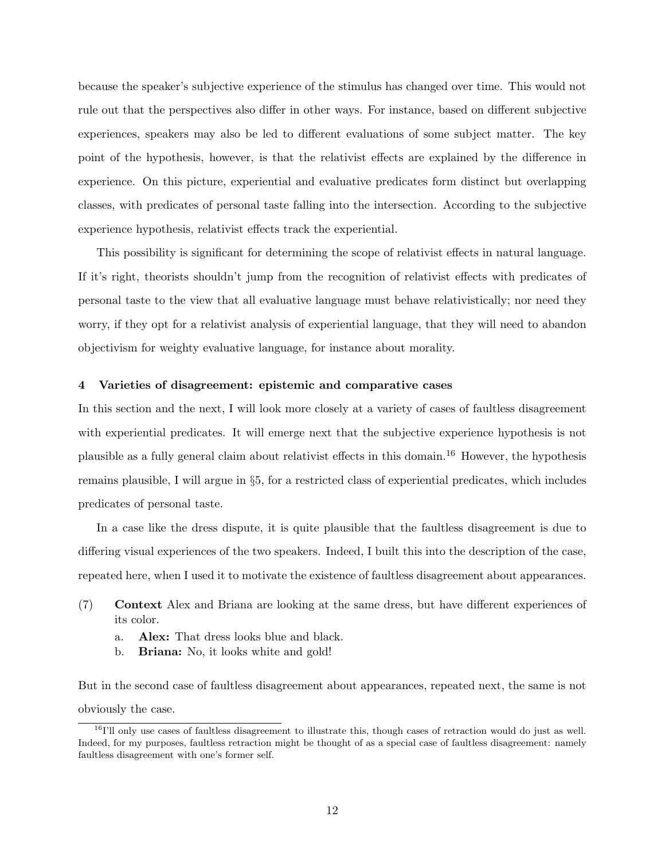because the speaker's subjective experience of the stimulus has changed over time. This would not rule out that the perspectives also differ in other ways. For instance, based on different subjective experiences, speakers may also be led to different evaluations of some subject matter. The key point of the hypothesis, however, is that the relativist effects are explained by the difference in experience. On this picture, experiential and evaluative predicates form distinct but overlapping classes, with predicates of personal taste falling into the intersection. According to the subjective experience hypothesis, relativist effects track the experiential.

This possibility is significant for determining the scope of relativist effects in natural language. If it's right, theorists shouldn't jump from the recognition of relativist effects with predicates of personal taste to the view that all evaluative language must behave relativistically; nor need they worry, if they opt for a relativist analysis of experiential language, that they will need to abandon objectivism for weighty evaluative language, for instance about morality.

## 4 Varieties of disagreement: epistemic and comparative cases

In this section and the next, I will look more closely at a variety of cases of faultless disagreement with experiential predicates. It will emerge next that the subjective experience hypothesis is not plausible as a fully general claim about relativist effects in this domain.<sup>16</sup> However, the hypothesis remains plausible, I will argue in §5, for a restricted class of experiential predicates, which includes predicates of personal taste.

In a case like the dress dispute, it is quite plausible that the faultless disagreement is due to differing visual experiences of the two speakers. Indeed, I built this into the description of the case, repeated here, when I used it to motivate the existence of faultless disagreement about appearances.

- (7) Context Alex and Briana are looking at the same dress, but have different experiences of its color.
	- a. Alex: That dress looks blue and black.
	- b. Briana: No, it looks white and gold!

But in the second case of faultless disagreement about appearances, repeated next, the same is not obviously the case.

 $16$ I'll only use cases of faultless disagreement to illustrate this, though cases of retraction would do just as well. Indeed, for my purposes, faultless retraction might be thought of as a special case of faultless disagreement: namely faultless disagreement with one's former self.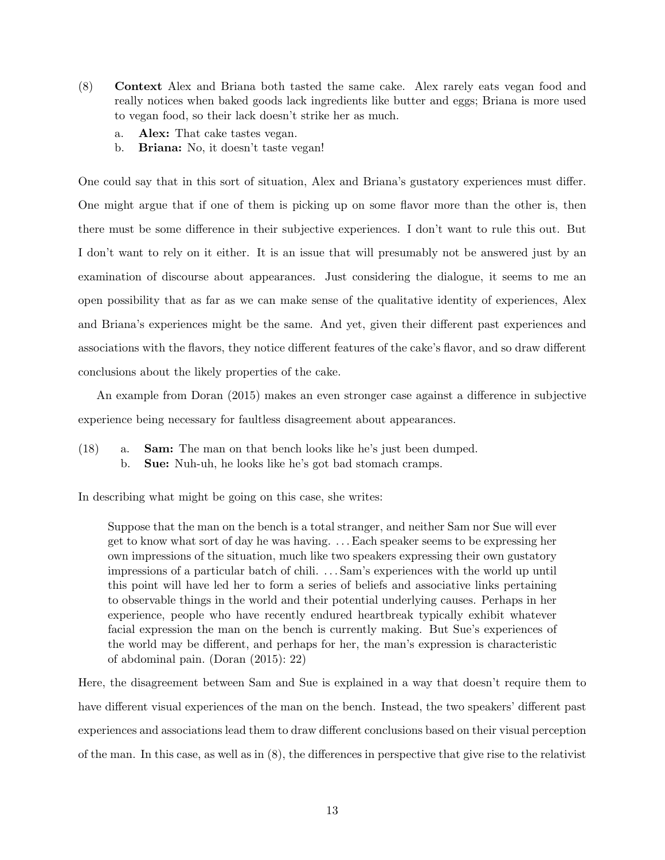- (8) Context Alex and Briana both tasted the same cake. Alex rarely eats vegan food and really notices when baked goods lack ingredients like butter and eggs; Briana is more used to vegan food, so their lack doesn't strike her as much.
	- a. Alex: That cake tastes vegan.
	- b. Briana: No, it doesn't taste vegan!

One could say that in this sort of situation, Alex and Briana's gustatory experiences must differ. One might argue that if one of them is picking up on some flavor more than the other is, then there must be some difference in their subjective experiences. I don't want to rule this out. But I don't want to rely on it either. It is an issue that will presumably not be answered just by an examination of discourse about appearances. Just considering the dialogue, it seems to me an open possibility that as far as we can make sense of the qualitative identity of experiences, Alex and Briana's experiences might be the same. And yet, given their different past experiences and associations with the flavors, they notice different features of the cake's flavor, and so draw different conclusions about the likely properties of the cake.

An example from Doran (2015) makes an even stronger case against a difference in subjective experience being necessary for faultless disagreement about appearances.

(18) a. Sam: The man on that bench looks like he's just been dumped. b. Sue: Nuh-uh, he looks like he's got bad stomach cramps.

In describing what might be going on this case, she writes:

Suppose that the man on the bench is a total stranger, and neither Sam nor Sue will ever get to know what sort of day he was having. . . . Each speaker seems to be expressing her own impressions of the situation, much like two speakers expressing their own gustatory impressions of a particular batch of chili. . . . Sam's experiences with the world up until this point will have led her to form a series of beliefs and associative links pertaining to observable things in the world and their potential underlying causes. Perhaps in her experience, people who have recently endured heartbreak typically exhibit whatever facial expression the man on the bench is currently making. But Sue's experiences of the world may be different, and perhaps for her, the man's expression is characteristic of abdominal pain. (Doran (2015): 22)

Here, the disagreement between Sam and Sue is explained in a way that doesn't require them to have different visual experiences of the man on the bench. Instead, the two speakers' different past experiences and associations lead them to draw different conclusions based on their visual perception of the man. In this case, as well as in (8), the differences in perspective that give rise to the relativist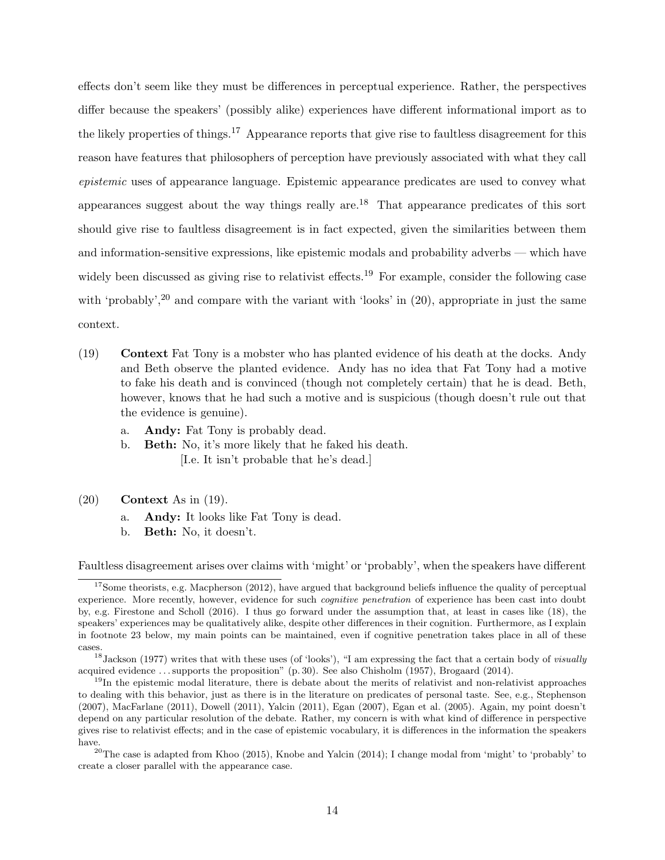effects don't seem like they must be differences in perceptual experience. Rather, the perspectives differ because the speakers' (possibly alike) experiences have different informational import as to the likely properties of things.<sup>17</sup> Appearance reports that give rise to faultless disagreement for this reason have features that philosophers of perception have previously associated with what they call epistemic uses of appearance language. Epistemic appearance predicates are used to convey what appearances suggest about the way things really are.<sup>18</sup> That appearance predicates of this sort should give rise to faultless disagreement is in fact expected, given the similarities between them and information-sensitive expressions, like epistemic modals and probability adverbs — which have widely been discussed as giving rise to relativist effects.<sup>19</sup> For example, consider the following case with 'probably',<sup>20</sup> and compare with the variant with 'looks' in  $(20)$ , appropriate in just the same context.

- (19) Context Fat Tony is a mobster who has planted evidence of his death at the docks. Andy and Beth observe the planted evidence. Andy has no idea that Fat Tony had a motive to fake his death and is convinced (though not completely certain) that he is dead. Beth, however, knows that he had such a motive and is suspicious (though doesn't rule out that the evidence is genuine).
	- a. Andy: Fat Tony is probably dead.
	- b. Beth: No, it's more likely that he faked his death. [I.e. It isn't probable that he's dead.]
- (20) Context As in (19).
	- a. Andy: It looks like Fat Tony is dead.
	- b. Beth: No, it doesn't.

Faultless disagreement arises over claims with 'might' or 'probably', when the speakers have different

 $17$ Some theorists, e.g. Macpherson (2012), have argued that background beliefs influence the quality of perceptual experience. More recently, however, evidence for such *cognitive penetration* of experience has been cast into doubt by, e.g. Firestone and Scholl (2016). I thus go forward under the assumption that, at least in cases like (18), the speakers' experiences may be qualitatively alike, despite other differences in their cognition. Furthermore, as I explain in footnote 23 below, my main points can be maintained, even if cognitive penetration takes place in all of these cases.

 $18$  Jackson (1977) writes that with these uses (of 'looks'), "I am expressing the fact that a certain body of *visually* acquired evidence . . . supports the proposition" (p. 30). See also Chisholm (1957), Brogaard (2014).

 $19$ In the epistemic modal literature, there is debate about the merits of relativist and non-relativist approaches to dealing with this behavior, just as there is in the literature on predicates of personal taste. See, e.g., Stephenson (2007), MacFarlane (2011), Dowell (2011), Yalcin (2011), Egan (2007), Egan et al. (2005). Again, my point doesn't depend on any particular resolution of the debate. Rather, my concern is with what kind of difference in perspective gives rise to relativist effects; and in the case of epistemic vocabulary, it is differences in the information the speakers have.

<sup>&</sup>lt;sup>20</sup>The case is adapted from Khoo (2015), Knobe and Yalcin (2014); I change modal from 'might' to 'probably' to create a closer parallel with the appearance case.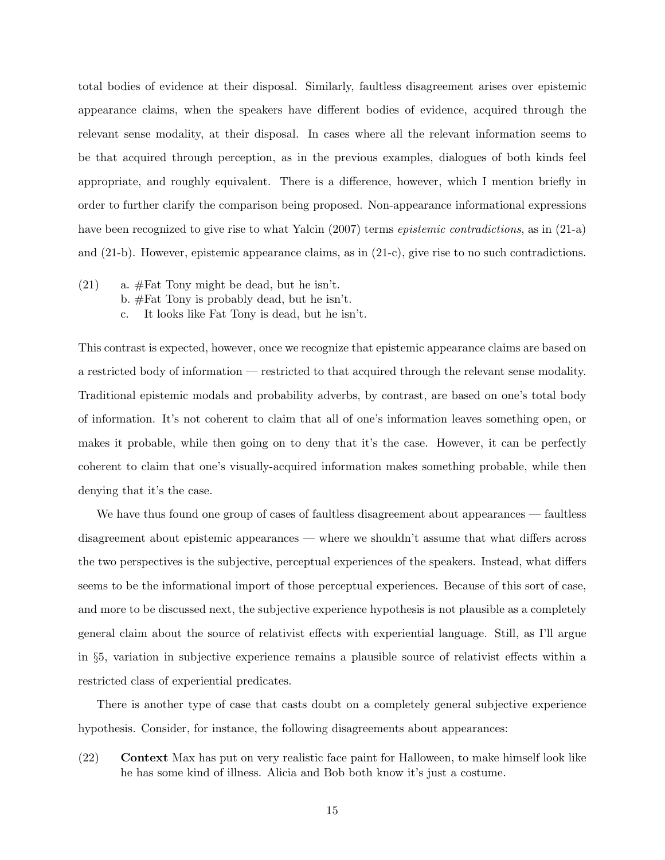total bodies of evidence at their disposal. Similarly, faultless disagreement arises over epistemic appearance claims, when the speakers have different bodies of evidence, acquired through the relevant sense modality, at their disposal. In cases where all the relevant information seems to be that acquired through perception, as in the previous examples, dialogues of both kinds feel appropriate, and roughly equivalent. There is a difference, however, which I mention briefly in order to further clarify the comparison being proposed. Non-appearance informational expressions have been recognized to give rise to what Yalcin (2007) terms *epistemic contradictions*, as in (21-a) and (21-b). However, epistemic appearance claims, as in (21-c), give rise to no such contradictions.

- $(21)$  a. #Fat Tony might be dead, but he isn't.
	- b. #Fat Tony is probably dead, but he isn't.
	- c. It looks like Fat Tony is dead, but he isn't.

This contrast is expected, however, once we recognize that epistemic appearance claims are based on a restricted body of information — restricted to that acquired through the relevant sense modality. Traditional epistemic modals and probability adverbs, by contrast, are based on one's total body of information. It's not coherent to claim that all of one's information leaves something open, or makes it probable, while then going on to deny that it's the case. However, it can be perfectly coherent to claim that one's visually-acquired information makes something probable, while then denying that it's the case.

We have thus found one group of cases of faultless disagreement about appearances — faultless disagreement about epistemic appearances — where we shouldn't assume that what differs across the two perspectives is the subjective, perceptual experiences of the speakers. Instead, what differs seems to be the informational import of those perceptual experiences. Because of this sort of case, and more to be discussed next, the subjective experience hypothesis is not plausible as a completely general claim about the source of relativist effects with experiential language. Still, as I'll argue in §5, variation in subjective experience remains a plausible source of relativist effects within a restricted class of experiential predicates.

There is another type of case that casts doubt on a completely general subjective experience hypothesis. Consider, for instance, the following disagreements about appearances:

(22) Context Max has put on very realistic face paint for Halloween, to make himself look like he has some kind of illness. Alicia and Bob both know it's just a costume.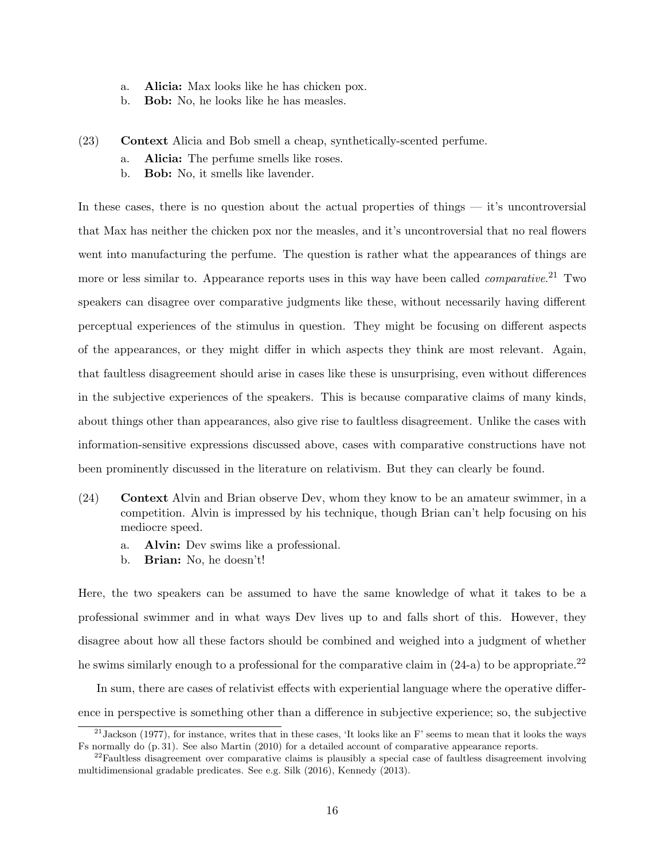- a. Alicia: Max looks like he has chicken pox.
- b. Bob: No, he looks like he has measles.
- (23) Context Alicia and Bob smell a cheap, synthetically-scented perfume.
	- a. Alicia: The perfume smells like roses.
	- b. Bob: No, it smells like lavender.

In these cases, there is no question about the actual properties of things — it's uncontroversial that Max has neither the chicken pox nor the measles, and it's uncontroversial that no real flowers went into manufacturing the perfume. The question is rather what the appearances of things are more or less similar to. Appearance reports uses in this way have been called *comparative*.<sup>21</sup> Two speakers can disagree over comparative judgments like these, without necessarily having different perceptual experiences of the stimulus in question. They might be focusing on different aspects of the appearances, or they might differ in which aspects they think are most relevant. Again, that faultless disagreement should arise in cases like these is unsurprising, even without differences in the subjective experiences of the speakers. This is because comparative claims of many kinds, about things other than appearances, also give rise to faultless disagreement. Unlike the cases with information-sensitive expressions discussed above, cases with comparative constructions have not been prominently discussed in the literature on relativism. But they can clearly be found.

- (24) Context Alvin and Brian observe Dev, whom they know to be an amateur swimmer, in a competition. Alvin is impressed by his technique, though Brian can't help focusing on his mediocre speed.
	- a. Alvin: Dev swims like a professional.
	- b. Brian: No, he doesn't!

Here, the two speakers can be assumed to have the same knowledge of what it takes to be a professional swimmer and in what ways Dev lives up to and falls short of this. However, they disagree about how all these factors should be combined and weighed into a judgment of whether he swims similarly enough to a professional for the comparative claim in  $(24-a)$  to be appropriate.<sup>22</sup>

In sum, there are cases of relativist effects with experiential language where the operative difference in perspective is something other than a difference in subjective experience; so, the subjective

 $21$  Jackson (1977), for instance, writes that in these cases, 'It looks like an F' seems to mean that it looks the ways Fs normally do (p. 31). See also Martin (2010) for a detailed account of comparative appearance reports.

 $22$ Faultless disagreement over comparative claims is plausibly a special case of faultless disagreement involving multidimensional gradable predicates. See e.g. Silk (2016), Kennedy (2013).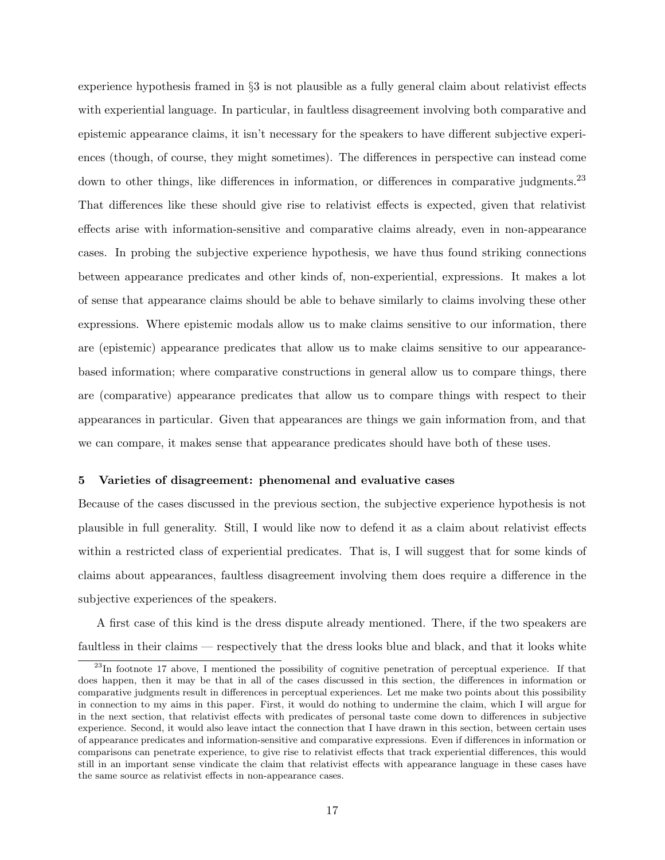experience hypothesis framed in §3 is not plausible as a fully general claim about relativist effects with experiential language. In particular, in faultless disagreement involving both comparative and epistemic appearance claims, it isn't necessary for the speakers to have different subjective experiences (though, of course, they might sometimes). The differences in perspective can instead come down to other things, like differences in information, or differences in comparative judgments.<sup>23</sup> That differences like these should give rise to relativist effects is expected, given that relativist effects arise with information-sensitive and comparative claims already, even in non-appearance cases. In probing the subjective experience hypothesis, we have thus found striking connections between appearance predicates and other kinds of, non-experiential, expressions. It makes a lot of sense that appearance claims should be able to behave similarly to claims involving these other expressions. Where epistemic modals allow us to make claims sensitive to our information, there are (epistemic) appearance predicates that allow us to make claims sensitive to our appearancebased information; where comparative constructions in general allow us to compare things, there are (comparative) appearance predicates that allow us to compare things with respect to their appearances in particular. Given that appearances are things we gain information from, and that we can compare, it makes sense that appearance predicates should have both of these uses.

#### 5 Varieties of disagreement: phenomenal and evaluative cases

Because of the cases discussed in the previous section, the subjective experience hypothesis is not plausible in full generality. Still, I would like now to defend it as a claim about relativist effects within a restricted class of experiential predicates. That is, I will suggest that for some kinds of claims about appearances, faultless disagreement involving them does require a difference in the subjective experiences of the speakers.

A first case of this kind is the dress dispute already mentioned. There, if the two speakers are faultless in their claims — respectively that the dress looks blue and black, and that it looks white

<sup>&</sup>lt;sup>23</sup>In footnote 17 above, I mentioned the possibility of cognitive penetration of perceptual experience. If that does happen, then it may be that in all of the cases discussed in this section, the differences in information or comparative judgments result in differences in perceptual experiences. Let me make two points about this possibility in connection to my aims in this paper. First, it would do nothing to undermine the claim, which I will argue for in the next section, that relativist effects with predicates of personal taste come down to differences in subjective experience. Second, it would also leave intact the connection that I have drawn in this section, between certain uses of appearance predicates and information-sensitive and comparative expressions. Even if differences in information or comparisons can penetrate experience, to give rise to relativist effects that track experiential differences, this would still in an important sense vindicate the claim that relativist effects with appearance language in these cases have the same source as relativist effects in non-appearance cases.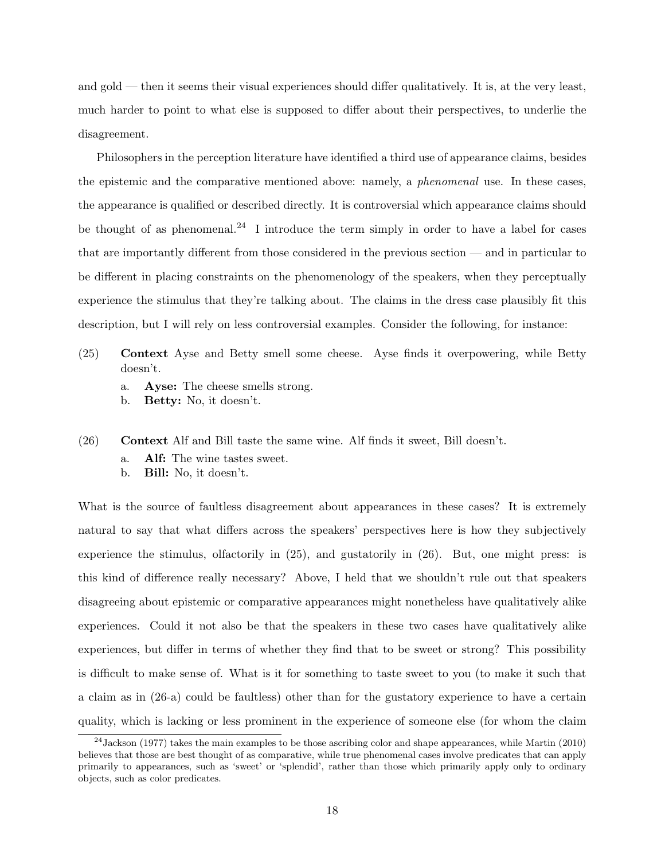and gold — then it seems their visual experiences should differ qualitatively. It is, at the very least, much harder to point to what else is supposed to differ about their perspectives, to underlie the disagreement.

Philosophers in the perception literature have identified a third use of appearance claims, besides the epistemic and the comparative mentioned above: namely, a phenomenal use. In these cases, the appearance is qualified or described directly. It is controversial which appearance claims should be thought of as phenomenal.<sup>24</sup> I introduce the term simply in order to have a label for cases that are importantly different from those considered in the previous section — and in particular to be different in placing constraints on the phenomenology of the speakers, when they perceptually experience the stimulus that they're talking about. The claims in the dress case plausibly fit this description, but I will rely on less controversial examples. Consider the following, for instance:

- (25) Context Ayse and Betty smell some cheese. Ayse finds it overpowering, while Betty doesn't.
	- a. Ayse: The cheese smells strong.
	- b. Betty: No, it doesn't.
- (26) Context Alf and Bill taste the same wine. Alf finds it sweet, Bill doesn't.
	- a. Alf: The wine tastes sweet.
	- b. Bill: No, it doesn't.

What is the source of faultless disagreement about appearances in these cases? It is extremely natural to say that what differs across the speakers' perspectives here is how they subjectively experience the stimulus, olfactorily in (25), and gustatorily in (26). But, one might press: is this kind of difference really necessary? Above, I held that we shouldn't rule out that speakers disagreeing about epistemic or comparative appearances might nonetheless have qualitatively alike experiences. Could it not also be that the speakers in these two cases have qualitatively alike experiences, but differ in terms of whether they find that to be sweet or strong? This possibility is difficult to make sense of. What is it for something to taste sweet to you (to make it such that a claim as in (26-a) could be faultless) other than for the gustatory experience to have a certain quality, which is lacking or less prominent in the experience of someone else (for whom the claim

 $^{24}$ Jackson (1977) takes the main examples to be those ascribing color and shape appearances, while Martin (2010) believes that those are best thought of as comparative, while true phenomenal cases involve predicates that can apply primarily to appearances, such as 'sweet' or 'splendid', rather than those which primarily apply only to ordinary objects, such as color predicates.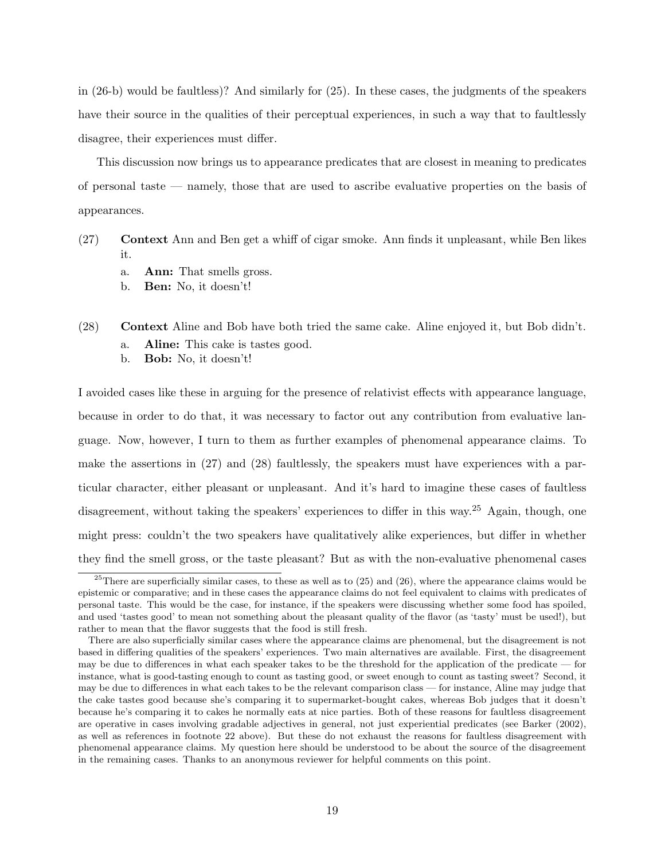in (26-b) would be faultless)? And similarly for (25). In these cases, the judgments of the speakers have their source in the qualities of their perceptual experiences, in such a way that to faultlessly disagree, their experiences must differ.

This discussion now brings us to appearance predicates that are closest in meaning to predicates of personal taste — namely, those that are used to ascribe evaluative properties on the basis of appearances.

- (27) Context Ann and Ben get a whiff of cigar smoke. Ann finds it unpleasant, while Ben likes it.
	- a. Ann: That smells gross.
	- b. Ben: No, it doesn't!
- (28) Context Aline and Bob have both tried the same cake. Aline enjoyed it, but Bob didn't.
	- a. Aline: This cake is tastes good.
	- b. Bob: No, it doesn't!

I avoided cases like these in arguing for the presence of relativist effects with appearance language, because in order to do that, it was necessary to factor out any contribution from evaluative language. Now, however, I turn to them as further examples of phenomenal appearance claims. To make the assertions in (27) and (28) faultlessly, the speakers must have experiences with a particular character, either pleasant or unpleasant. And it's hard to imagine these cases of faultless disagreement, without taking the speakers' experiences to differ in this way.<sup>25</sup> Again, though, one might press: couldn't the two speakers have qualitatively alike experiences, but differ in whether they find the smell gross, or the taste pleasant? But as with the non-evaluative phenomenal cases

<sup>&</sup>lt;sup>25</sup>There are superficially similar cases, to these as well as to  $(25)$  and  $(26)$ , where the appearance claims would be epistemic or comparative; and in these cases the appearance claims do not feel equivalent to claims with predicates of personal taste. This would be the case, for instance, if the speakers were discussing whether some food has spoiled, and used 'tastes good' to mean not something about the pleasant quality of the flavor (as 'tasty' must be used!), but rather to mean that the flavor suggests that the food is still fresh.

There are also superficially similar cases where the appearance claims are phenomenal, but the disagreement is not based in differing qualities of the speakers' experiences. Two main alternatives are available. First, the disagreement may be due to differences in what each speaker takes to be the threshold for the application of the predicate — for instance, what is good-tasting enough to count as tasting good, or sweet enough to count as tasting sweet? Second, it may be due to differences in what each takes to be the relevant comparison class — for instance, Aline may judge that the cake tastes good because she's comparing it to supermarket-bought cakes, whereas Bob judges that it doesn't because he's comparing it to cakes he normally eats at nice parties. Both of these reasons for faultless disagreement are operative in cases involving gradable adjectives in general, not just experiential predicates (see Barker (2002), as well as references in footnote 22 above). But these do not exhaust the reasons for faultless disagreement with phenomenal appearance claims. My question here should be understood to be about the source of the disagreement in the remaining cases. Thanks to an anonymous reviewer for helpful comments on this point.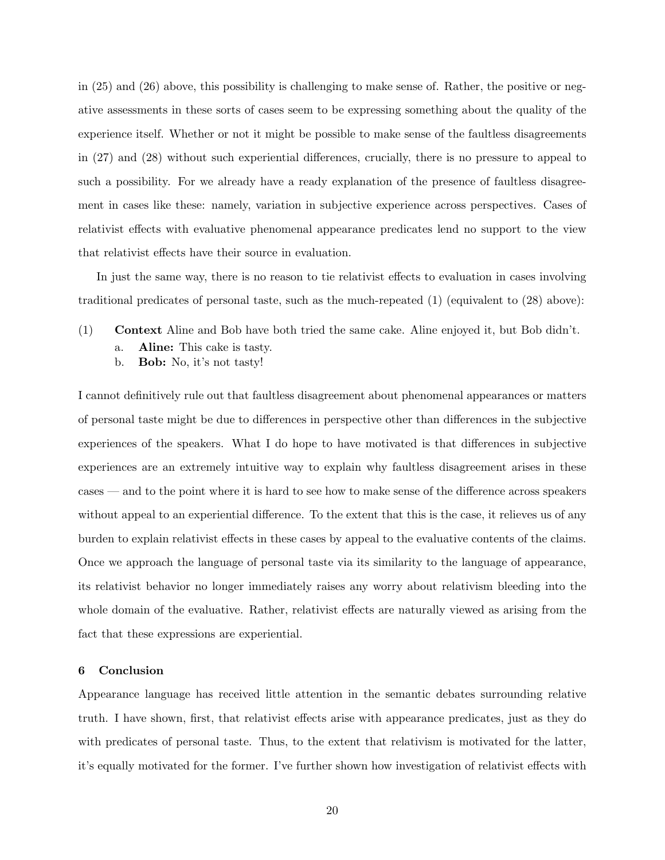in (25) and (26) above, this possibility is challenging to make sense of. Rather, the positive or negative assessments in these sorts of cases seem to be expressing something about the quality of the experience itself. Whether or not it might be possible to make sense of the faultless disagreements in (27) and (28) without such experiential differences, crucially, there is no pressure to appeal to such a possibility. For we already have a ready explanation of the presence of faultless disagreement in cases like these: namely, variation in subjective experience across perspectives. Cases of relativist effects with evaluative phenomenal appearance predicates lend no support to the view that relativist effects have their source in evaluation.

In just the same way, there is no reason to tie relativist effects to evaluation in cases involving traditional predicates of personal taste, such as the much-repeated (1) (equivalent to (28) above):

- (1) Context Aline and Bob have both tried the same cake. Aline enjoyed it, but Bob didn't.
	- a. Aline: This cake is tasty.
	- b. **Bob:** No, it's not tasty!

I cannot definitively rule out that faultless disagreement about phenomenal appearances or matters of personal taste might be due to differences in perspective other than differences in the subjective experiences of the speakers. What I do hope to have motivated is that differences in subjective experiences are an extremely intuitive way to explain why faultless disagreement arises in these cases — and to the point where it is hard to see how to make sense of the difference across speakers without appeal to an experiential difference. To the extent that this is the case, it relieves us of any burden to explain relativist effects in these cases by appeal to the evaluative contents of the claims. Once we approach the language of personal taste via its similarity to the language of appearance, its relativist behavior no longer immediately raises any worry about relativism bleeding into the whole domain of the evaluative. Rather, relativist effects are naturally viewed as arising from the fact that these expressions are experiential.

## 6 Conclusion

Appearance language has received little attention in the semantic debates surrounding relative truth. I have shown, first, that relativist effects arise with appearance predicates, just as they do with predicates of personal taste. Thus, to the extent that relativism is motivated for the latter, it's equally motivated for the former. I've further shown how investigation of relativist effects with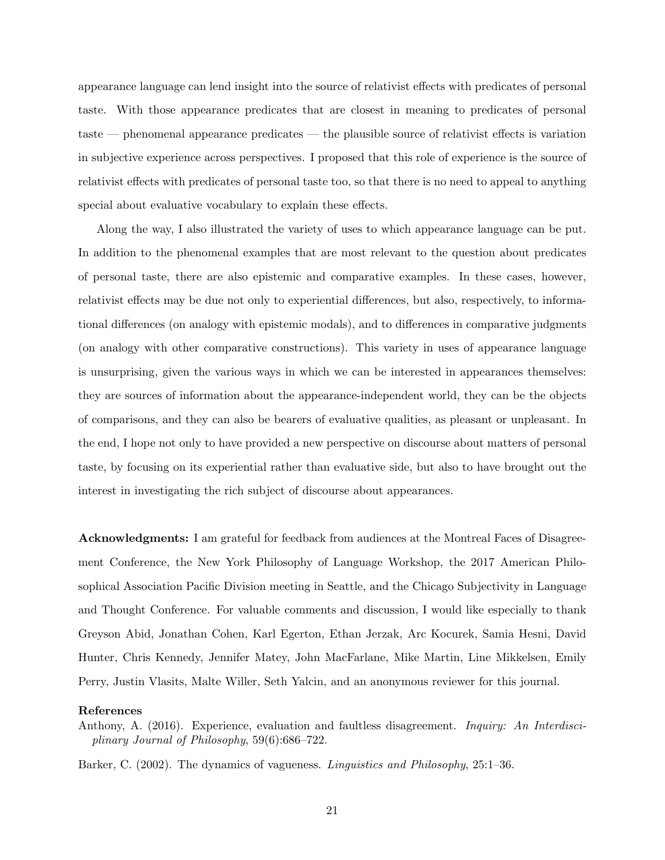appearance language can lend insight into the source of relativist effects with predicates of personal taste. With those appearance predicates that are closest in meaning to predicates of personal taste — phenomenal appearance predicates — the plausible source of relativist effects is variation in subjective experience across perspectives. I proposed that this role of experience is the source of relativist effects with predicates of personal taste too, so that there is no need to appeal to anything special about evaluative vocabulary to explain these effects.

Along the way, I also illustrated the variety of uses to which appearance language can be put. In addition to the phenomenal examples that are most relevant to the question about predicates of personal taste, there are also epistemic and comparative examples. In these cases, however, relativist effects may be due not only to experiential differences, but also, respectively, to informational differences (on analogy with epistemic modals), and to differences in comparative judgments (on analogy with other comparative constructions). This variety in uses of appearance language is unsurprising, given the various ways in which we can be interested in appearances themselves: they are sources of information about the appearance-independent world, they can be the objects of comparisons, and they can also be bearers of evaluative qualities, as pleasant or unpleasant. In the end, I hope not only to have provided a new perspective on discourse about matters of personal taste, by focusing on its experiential rather than evaluative side, but also to have brought out the interest in investigating the rich subject of discourse about appearances.

Acknowledgments: I am grateful for feedback from audiences at the Montreal Faces of Disagreement Conference, the New York Philosophy of Language Workshop, the 2017 American Philosophical Association Pacific Division meeting in Seattle, and the Chicago Subjectivity in Language and Thought Conference. For valuable comments and discussion, I would like especially to thank Greyson Abid, Jonathan Cohen, Karl Egerton, Ethan Jerzak, Arc Kocurek, Samia Hesni, David Hunter, Chris Kennedy, Jennifer Matey, John MacFarlane, Mike Martin, Line Mikkelsen, Emily Perry, Justin Vlasits, Malte Willer, Seth Yalcin, and an anonymous reviewer for this journal.

## References

Anthony, A. (2016). Experience, evaluation and faultless disagreement. *Inquiry: An Interdisci*plinary Journal of Philosophy, 59(6):686–722.

Barker, C. (2002). The dynamics of vagueness. Linguistics and Philosophy, 25:1–36.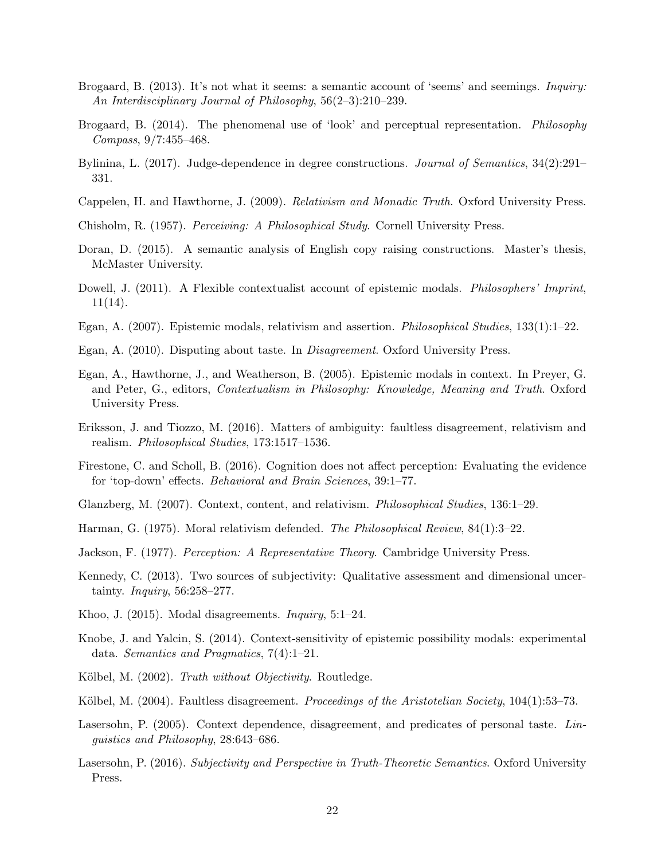- Brogaard, B. (2013). It's not what it seems: a semantic account of 'seems' and seemings. *Inquiry:* An Interdisciplinary Journal of Philosophy, 56(2–3):210–239.
- Brogaard, B. (2014). The phenomenal use of 'look' and perceptual representation. Philosophy Compass, 9/7:455–468.
- Bylinina, L. (2017). Judge-dependence in degree constructions. Journal of Semantics, 34(2):291– 331.
- Cappelen, H. and Hawthorne, J. (2009). Relativism and Monadic Truth. Oxford University Press.
- Chisholm, R. (1957). Perceiving: A Philosophical Study. Cornell University Press.
- Doran, D. (2015). A semantic analysis of English copy raising constructions. Master's thesis, McMaster University.
- Dowell, J. (2011). A Flexible contextualist account of epistemic modals. *Philosophers' Imprint*, 11(14).
- Egan, A. (2007). Epistemic modals, relativism and assertion. Philosophical Studies, 133(1):1–22.
- Egan, A. (2010). Disputing about taste. In Disagreement. Oxford University Press.
- Egan, A., Hawthorne, J., and Weatherson, B. (2005). Epistemic modals in context. In Preyer, G. and Peter, G., editors, Contextualism in Philosophy: Knowledge, Meaning and Truth. Oxford University Press.
- Eriksson, J. and Tiozzo, M. (2016). Matters of ambiguity: faultless disagreement, relativism and realism. Philosophical Studies, 173:1517–1536.
- Firestone, C. and Scholl, B. (2016). Cognition does not affect perception: Evaluating the evidence for 'top-down' effects. Behavioral and Brain Sciences, 39:1–77.
- Glanzberg, M. (2007). Context, content, and relativism. Philosophical Studies, 136:1–29.
- Harman, G. (1975). Moral relativism defended. The Philosophical Review, 84(1):3–22.
- Jackson, F. (1977). Perception: A Representative Theory. Cambridge University Press.
- Kennedy, C. (2013). Two sources of subjectivity: Qualitative assessment and dimensional uncertainty. Inquiry, 56:258–277.
- Khoo, J. (2015). Modal disagreements. Inquiry, 5:1–24.
- Knobe, J. and Yalcin, S. (2014). Context-sensitivity of epistemic possibility modals: experimental data. Semantics and Pragmatics, 7(4):1–21.
- Kölbel, M. (2002). Truth without Objectivity. Routledge.
- Kölbel, M. (2004). Faultless disagreement. *Proceedings of the Aristotelian Society*, 104(1):53–73.
- Lasersohn, P. (2005). Context dependence, disagreement, and predicates of personal taste. Linguistics and Philosophy, 28:643–686.
- Lasersohn, P. (2016). Subjectivity and Perspective in Truth-Theoretic Semantics. Oxford University Press.